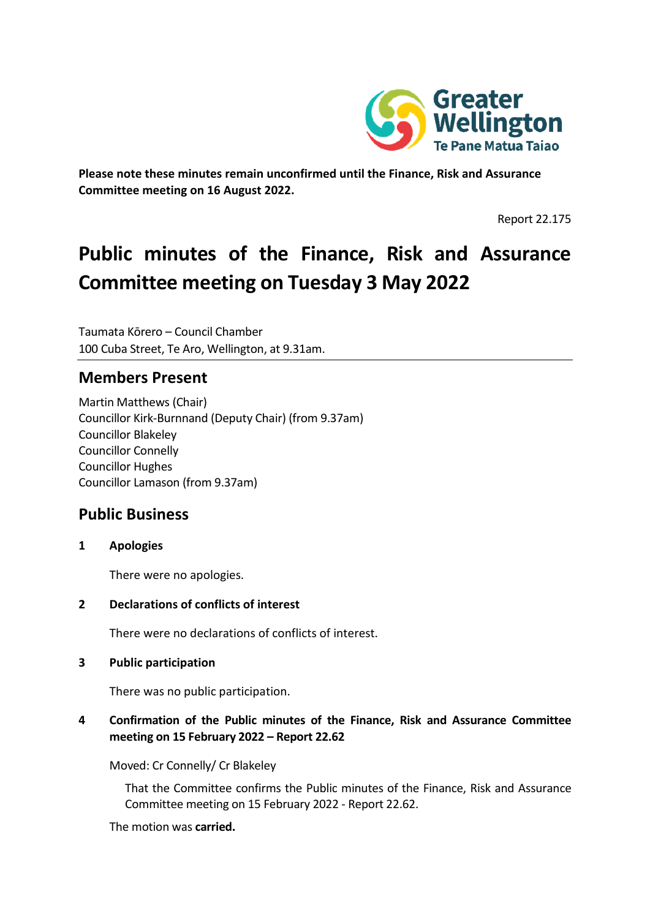

**Please note these minutes remain unconfirmed until the Finance, Risk and Assurance Committee meeting on 16 August 2022.**

Report 22.175

# **Public minutes of the Finance, Risk and Assurance Committee meeting on Tuesday 3 May 2022**

Taumata Kōrero – Council Chamber 100 Cuba Street, Te Aro, Wellington, at 9.31am.

# **Members Present**

Martin Matthews (Chair) Councillor Kirk-Burnnand (Deputy Chair) (from 9.37am) Councillor Blakeley Councillor Connelly Councillor Hughes Councillor Lamason (from 9.37am)

# **Public Business**

**1 Apologies**

There were no apologies.

**2 Declarations of conflicts of interest**

There were no declarations of conflicts of interest.

#### **3 Public participation**

There was no public participation.

## **4 Confirmation of the Public minutes of the Finance, Risk and Assurance Committee meeting on 15 February 2022 – Report 22.62**

Moved: Cr Connelly/ Cr Blakeley

That the Committee confirms the Public minutes of the Finance, Risk and Assurance Committee meeting on 15 February 2022 - Report 22.62.

The motion was **carried.**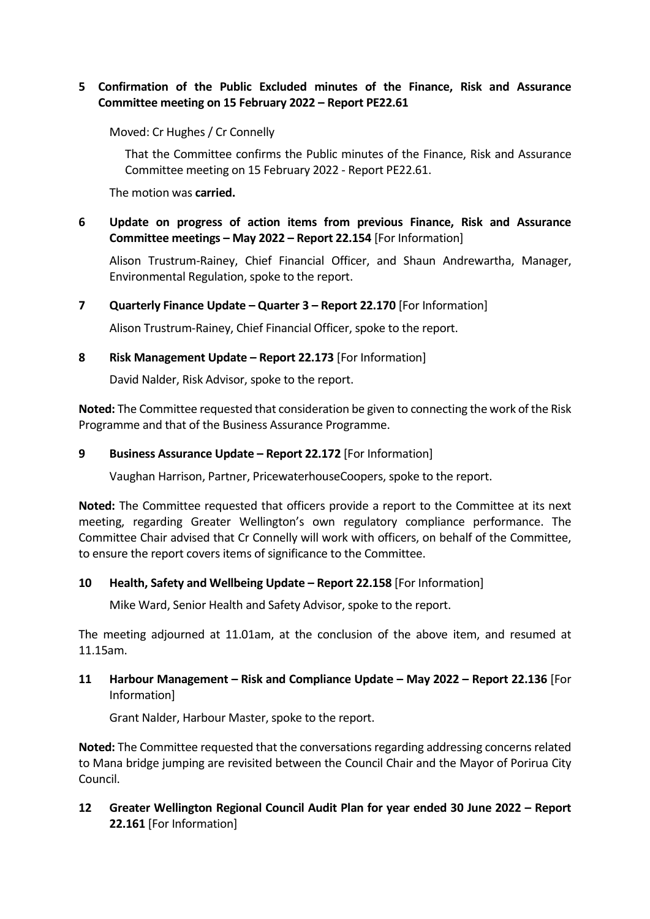## **5 Confirmation of the Public Excluded minutes of the Finance, Risk and Assurance Committee meeting on 15 February 2022 – Report PE22.61**

Moved: Cr Hughes / Cr Connelly

That the Committee confirms the Public minutes of the Finance, Risk and Assurance Committee meeting on 15 February 2022 - Report PE22.61.

The motion was **carried.**

**6 Update on progress of action items from previous Finance, Risk and Assurance Committee meetings – May 2022 – Report 22.154** [For Information]

Alison Trustrum-Rainey, Chief Financial Officer, and Shaun Andrewartha, Manager, Environmental Regulation, spoke to the report.

**7 Quarterly Finance Update – Quarter 3 – Report 22.170** [For Information]

Alison Trustrum-Rainey, Chief Financial Officer, spoke to the report.

#### **8 Risk Management Update – Report 22.173** [For Information]

David Nalder, Risk Advisor, spoke to the report.

**Noted:** The Committee requested that consideration be given to connecting the work of the Risk Programme and that of the Business Assurance Programme.

#### **9 Business Assurance Update – Report 22.172** [For Information]

Vaughan Harrison, Partner, PricewaterhouseCoopers, spoke to the report.

**Noted:** The Committee requested that officers provide a report to the Committee at its next meeting, regarding Greater Wellington's own regulatory compliance performance. The Committee Chair advised that Cr Connelly will work with officers, on behalf of the Committee, to ensure the report covers items of significance to the Committee.

## **10 Health, Safety and Wellbeing Update – Report 22.158** [For Information]

Mike Ward, Senior Health and Safety Advisor, spoke to the report.

The meeting adjourned at 11.01am, at the conclusion of the above item, and resumed at 11.15am.

## **11 Harbour Management – Risk and Compliance Update – May 2022 – Report 22.136** [For Information]

Grant Nalder, Harbour Master, spoke to the report.

**Noted:** The Committee requested that the conversations regarding addressing concerns related to Mana bridge jumping are revisited between the Council Chair and the Mayor of Porirua City Council.

**12 Greater Wellington Regional Council Audit Plan for year ended 30 June 2022 – Report 22.161** [For Information]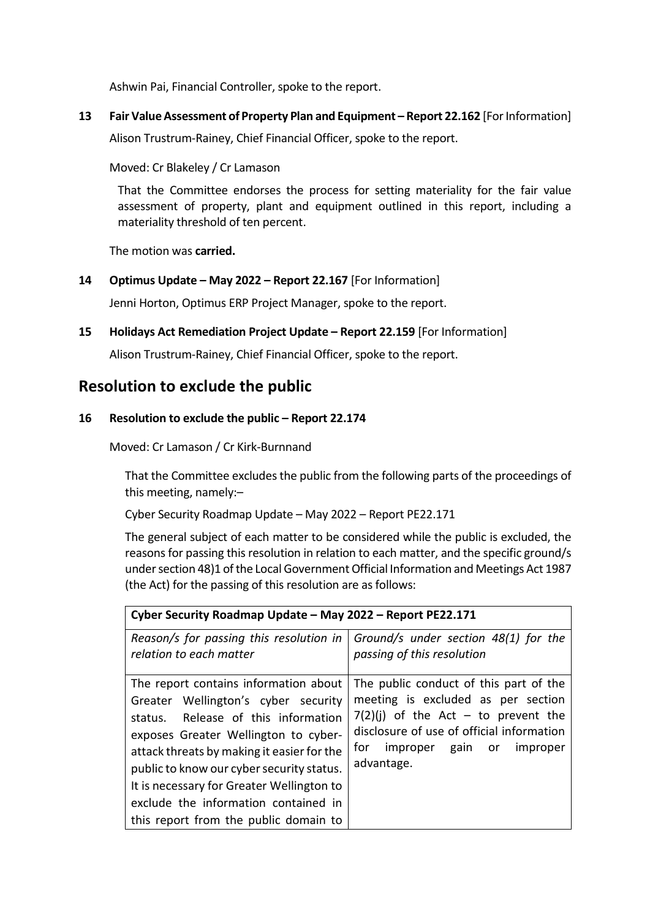Ashwin Pai, Financial Controller, spoke to the report.

**13 Fair Value Assessment of Property Plan and Equipment – Report 22.162** [For Information] Alison Trustrum-Rainey, Chief Financial Officer, spoke to the report.

Moved: Cr Blakeley / Cr Lamason

That the Committee endorses the process for setting materiality for the fair value assessment of property, plant and equipment outlined in this report, including a materiality threshold of ten percent.

The motion was **carried.**

**14 Optimus Update – May 2022 – Report 22.167** [For Information]

Jenni Horton, Optimus ERP Project Manager, spoke to the report.

**15 Holidays Act Remediation Project Update – Report 22.159** [For Information]

Alison Trustrum-Rainey, Chief Financial Officer, spoke to the report.

# **Resolution to exclude the public**

#### **16 Resolution to exclude the public – Report 22.174**

Moved: Cr Lamason / Cr Kirk-Burnnand

That the Committee excludes the public from the following parts of the proceedings of this meeting, namely:–

Cyber Security Roadmap Update – May 2022 – Report PE22.171

The general subject of each matter to be considered while the public is excluded, the reasons for passing this resolution in relation to each matter, and the specific ground/s under section 48)1 of the Local Government Official Information and Meetings Act 1987 (the Act) for the passing of this resolution are as follows:

| Cyber Security Roadmap Update - May 2022 - Report PE22.171                                                                                                                                                                                                                                                                                                                           |                                                                                                                                                                                                                         |
|--------------------------------------------------------------------------------------------------------------------------------------------------------------------------------------------------------------------------------------------------------------------------------------------------------------------------------------------------------------------------------------|-------------------------------------------------------------------------------------------------------------------------------------------------------------------------------------------------------------------------|
| Reason/s for passing this resolution in<br>relation to each matter                                                                                                                                                                                                                                                                                                                   | Ground/s under section 48(1) for the<br>passing of this resolution                                                                                                                                                      |
| The report contains information about<br>Greater Wellington's cyber security<br>status. Release of this information<br>exposes Greater Wellington to cyber-<br>attack threats by making it easier for the<br>public to know our cyber security status.<br>It is necessary for Greater Wellington to<br>exclude the information contained in<br>this report from the public domain to | The public conduct of this part of the<br>meeting is excluded as per section<br>$7(2)(j)$ of the Act – to prevent the<br>disclosure of use of official information<br>improper gain<br>tor<br>or improper<br>advantage. |